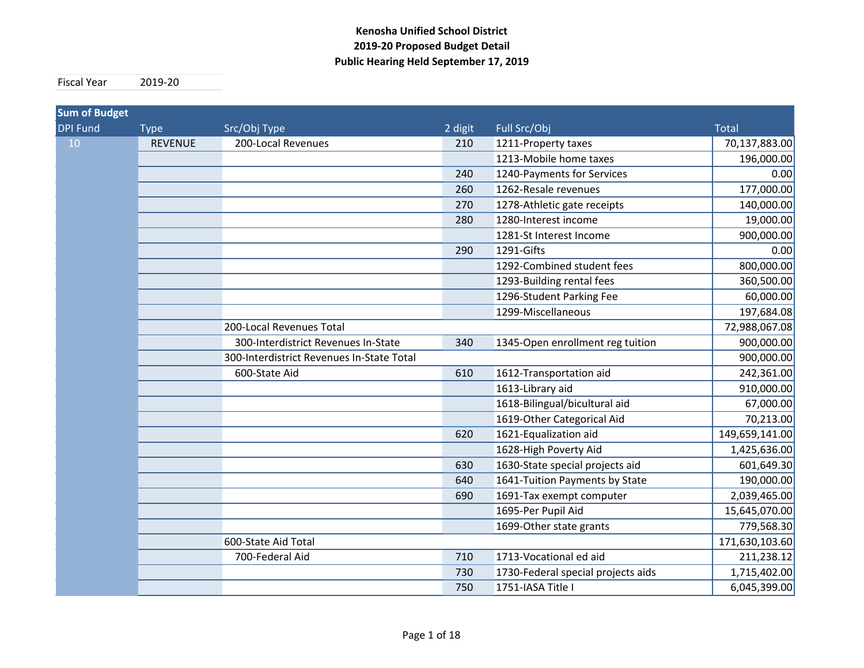#### **Kenosha Unified School District 2019‐20 Proposed Budget Detail Public Hearing Held September 17, 2019**

Fiscal Year 2019-20

| <b>Sum of Budget</b> |                |                                           |         |                                    |                |
|----------------------|----------------|-------------------------------------------|---------|------------------------------------|----------------|
| DPI Fund             | <b>Type</b>    | Src/Obj Type                              | 2 digit | Full Src/Obj                       | <b>Total</b>   |
| 10                   | <b>REVENUE</b> | 200-Local Revenues                        | 210     | 1211-Property taxes                | 70,137,883.00  |
|                      |                |                                           |         | 1213-Mobile home taxes             | 196,000.00     |
|                      |                |                                           | 240     | 1240-Payments for Services         | 0.00           |
|                      |                |                                           | 260     | 1262-Resale revenues               | 177,000.00     |
|                      |                |                                           | 270     | 1278-Athletic gate receipts        | 140,000.00     |
|                      |                |                                           | 280     | 1280-Interest income               | 19,000.00      |
|                      |                |                                           |         | 1281-St Interest Income            | 900,000.00     |
|                      |                |                                           | 290     | 1291-Gifts                         | 0.00           |
|                      |                |                                           |         | 1292-Combined student fees         | 800,000.00     |
|                      |                |                                           |         | 1293-Building rental fees          | 360,500.00     |
|                      |                |                                           |         | 1296-Student Parking Fee           | 60,000.00      |
|                      |                |                                           |         | 1299-Miscellaneous                 | 197,684.08     |
|                      |                | 200-Local Revenues Total                  |         |                                    | 72,988,067.08  |
|                      |                | 300-Interdistrict Revenues In-State       | 340     | 1345-Open enrollment reg tuition   | 900,000.00     |
|                      |                | 300-Interdistrict Revenues In-State Total |         |                                    | 900,000.00     |
|                      |                | 600-State Aid                             | 610     | 1612-Transportation aid            | 242,361.00     |
|                      |                |                                           |         | 1613-Library aid                   | 910,000.00     |
|                      |                |                                           |         | 1618-Bilingual/bicultural aid      | 67,000.00      |
|                      |                |                                           |         | 1619-Other Categorical Aid         | 70,213.00      |
|                      |                |                                           | 620     | 1621-Equalization aid              | 149,659,141.00 |
|                      |                |                                           |         | 1628-High Poverty Aid              | 1,425,636.00   |
|                      |                |                                           | 630     | 1630-State special projects aid    | 601,649.30     |
|                      |                |                                           | 640     | 1641-Tuition Payments by State     | 190,000.00     |
|                      |                |                                           | 690     | 1691-Tax exempt computer           | 2,039,465.00   |
|                      |                |                                           |         | 1695-Per Pupil Aid                 | 15,645,070.00  |
|                      |                |                                           |         | 1699-Other state grants            | 779,568.30     |
|                      |                | 600-State Aid Total                       |         |                                    | 171,630,103.60 |
|                      |                | 700-Federal Aid                           | 710     | 1713-Vocational ed aid             | 211,238.12     |
|                      |                |                                           | 730     | 1730-Federal special projects aids | 1,715,402.00   |
|                      |                |                                           | 750     | 1751-IASA Title I                  | 6,045,399.00   |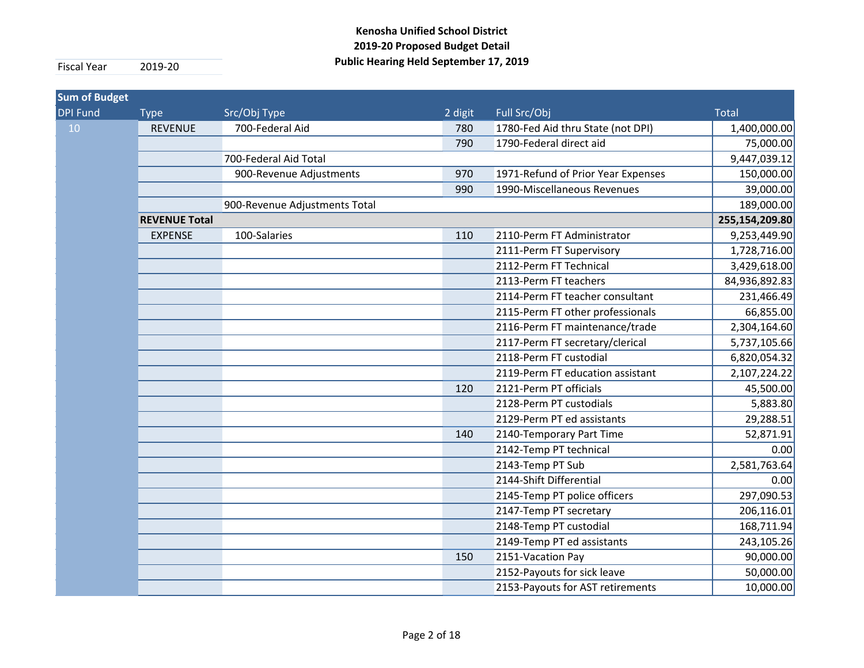| <b>Sum of Budget</b> |                      |                               |         |                                    |                |
|----------------------|----------------------|-------------------------------|---------|------------------------------------|----------------|
| <b>DPI Fund</b>      | <b>Type</b>          | Src/Obj Type                  | 2 digit | Full Src/Obj                       | <b>Total</b>   |
| 10                   | <b>REVENUE</b>       | 700-Federal Aid               | 780     | 1780-Fed Aid thru State (not DPI)  | 1,400,000.00   |
|                      |                      |                               | 790     | 1790-Federal direct aid            | 75,000.00      |
|                      |                      | 700-Federal Aid Total         |         |                                    | 9,447,039.12   |
|                      |                      | 900-Revenue Adjustments       | 970     | 1971-Refund of Prior Year Expenses | 150,000.00     |
|                      |                      |                               | 990     | 1990-Miscellaneous Revenues        | 39,000.00      |
|                      |                      | 900-Revenue Adjustments Total |         |                                    | 189,000.00     |
|                      | <b>REVENUE Total</b> |                               |         |                                    | 255,154,209.80 |
|                      | <b>EXPENSE</b>       | 100-Salaries                  | 110     | 2110-Perm FT Administrator         | 9,253,449.90   |
|                      |                      |                               |         | 2111-Perm FT Supervisory           | 1,728,716.00   |
|                      |                      |                               |         | 2112-Perm FT Technical             | 3,429,618.00   |
|                      |                      |                               |         | 2113-Perm FT teachers              | 84,936,892.83  |
|                      |                      |                               |         | 2114-Perm FT teacher consultant    | 231,466.49     |
|                      |                      |                               |         | 2115-Perm FT other professionals   | 66,855.00      |
|                      |                      |                               |         | 2116-Perm FT maintenance/trade     | 2,304,164.60   |
|                      |                      |                               |         | 2117-Perm FT secretary/clerical    | 5,737,105.66   |
|                      |                      |                               |         | 2118-Perm FT custodial             | 6,820,054.32   |
|                      |                      |                               |         | 2119-Perm FT education assistant   | 2,107,224.22   |
|                      |                      |                               | 120     | 2121-Perm PT officials             | 45,500.00      |
|                      |                      |                               |         | 2128-Perm PT custodials            | 5,883.80       |
|                      |                      |                               |         | 2129-Perm PT ed assistants         | 29,288.51      |
|                      |                      |                               | 140     | 2140-Temporary Part Time           | 52,871.91      |
|                      |                      |                               |         | 2142-Temp PT technical             | 0.00           |
|                      |                      |                               |         | 2143-Temp PT Sub                   | 2,581,763.64   |
|                      |                      |                               |         | 2144-Shift Differential            | 0.00           |
|                      |                      |                               |         | 2145-Temp PT police officers       | 297,090.53     |
|                      |                      |                               |         | 2147-Temp PT secretary             | 206,116.01     |
|                      |                      |                               |         | 2148-Temp PT custodial             | 168,711.94     |
|                      |                      |                               |         | 2149-Temp PT ed assistants         | 243,105.26     |
|                      |                      |                               | 150     | 2151-Vacation Pay                  | 90,000.00      |
|                      |                      |                               |         | 2152-Payouts for sick leave        | 50,000.00      |
|                      |                      |                               |         | 2153-Payouts for AST retirements   | 10,000.00      |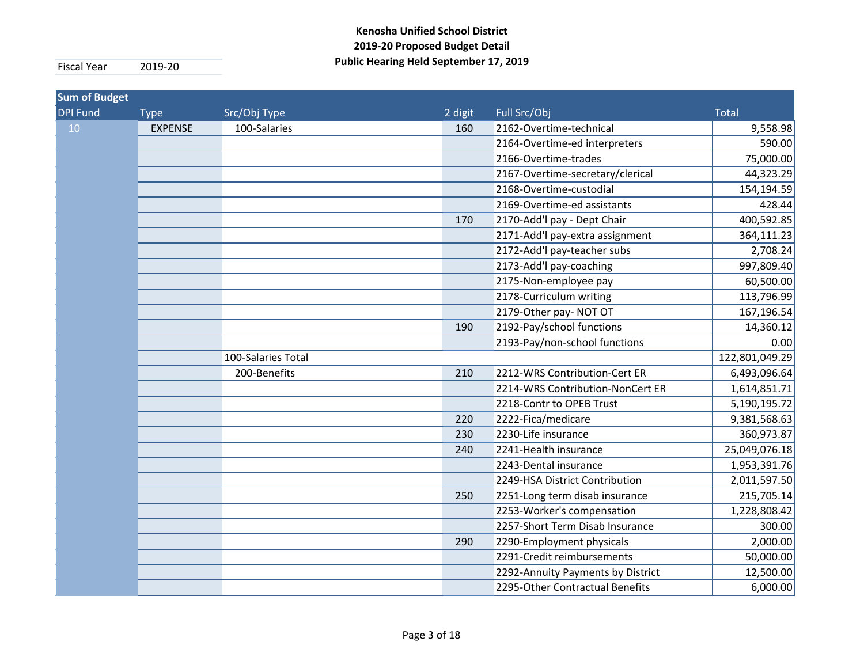| <b>DPI Fund</b><br>Full Src/Obj<br>Src/Obj Type<br>2 digit<br><b>Total</b><br><b>Type</b><br>10<br><b>EXPENSE</b><br>100-Salaries<br>2162-Overtime-technical<br>160<br>2164-Overtime-ed interpreters<br>2166-Overtime-trades<br>2167-Overtime-secretary/clerical<br>2168-Overtime-custodial<br>2169-Overtime-ed assistants<br>2170-Add'l pay - Dept Chair<br>170<br>2171-Add'l pay-extra assignment<br>2172-Add'l pay-teacher subs<br>2173-Add'l pay-coaching<br>2175-Non-employee pay<br>2178-Curriculum writing<br>2179-Other pay- NOT OT<br>2192-Pay/school functions<br>190<br>2193-Pay/non-school functions<br>100-Salaries Total<br>200-Benefits<br>2212-WRS Contribution-Cert ER<br>210<br>2214-WRS Contribution-NonCert ER<br>2218-Contr to OPEB Trust<br>2222-Fica/medicare<br>220<br>2230-Life insurance<br>230<br>2241-Health insurance<br>240 | 9,558.98<br>75,000.00<br>44,323.29<br>154,194.59<br>428.44<br>400,592.85<br>364,111.23<br>2,708.24<br>997,809.40<br>60,500.00<br>113,796.99 |
|-----------------------------------------------------------------------------------------------------------------------------------------------------------------------------------------------------------------------------------------------------------------------------------------------------------------------------------------------------------------------------------------------------------------------------------------------------------------------------------------------------------------------------------------------------------------------------------------------------------------------------------------------------------------------------------------------------------------------------------------------------------------------------------------------------------------------------------------------------------|---------------------------------------------------------------------------------------------------------------------------------------------|
|                                                                                                                                                                                                                                                                                                                                                                                                                                                                                                                                                                                                                                                                                                                                                                                                                                                           | 590.00                                                                                                                                      |
|                                                                                                                                                                                                                                                                                                                                                                                                                                                                                                                                                                                                                                                                                                                                                                                                                                                           |                                                                                                                                             |
|                                                                                                                                                                                                                                                                                                                                                                                                                                                                                                                                                                                                                                                                                                                                                                                                                                                           |                                                                                                                                             |
|                                                                                                                                                                                                                                                                                                                                                                                                                                                                                                                                                                                                                                                                                                                                                                                                                                                           |                                                                                                                                             |
|                                                                                                                                                                                                                                                                                                                                                                                                                                                                                                                                                                                                                                                                                                                                                                                                                                                           |                                                                                                                                             |
|                                                                                                                                                                                                                                                                                                                                                                                                                                                                                                                                                                                                                                                                                                                                                                                                                                                           |                                                                                                                                             |
|                                                                                                                                                                                                                                                                                                                                                                                                                                                                                                                                                                                                                                                                                                                                                                                                                                                           |                                                                                                                                             |
|                                                                                                                                                                                                                                                                                                                                                                                                                                                                                                                                                                                                                                                                                                                                                                                                                                                           |                                                                                                                                             |
|                                                                                                                                                                                                                                                                                                                                                                                                                                                                                                                                                                                                                                                                                                                                                                                                                                                           |                                                                                                                                             |
|                                                                                                                                                                                                                                                                                                                                                                                                                                                                                                                                                                                                                                                                                                                                                                                                                                                           |                                                                                                                                             |
|                                                                                                                                                                                                                                                                                                                                                                                                                                                                                                                                                                                                                                                                                                                                                                                                                                                           |                                                                                                                                             |
|                                                                                                                                                                                                                                                                                                                                                                                                                                                                                                                                                                                                                                                                                                                                                                                                                                                           |                                                                                                                                             |
|                                                                                                                                                                                                                                                                                                                                                                                                                                                                                                                                                                                                                                                                                                                                                                                                                                                           |                                                                                                                                             |
|                                                                                                                                                                                                                                                                                                                                                                                                                                                                                                                                                                                                                                                                                                                                                                                                                                                           | 167,196.54                                                                                                                                  |
|                                                                                                                                                                                                                                                                                                                                                                                                                                                                                                                                                                                                                                                                                                                                                                                                                                                           | 14,360.12                                                                                                                                   |
|                                                                                                                                                                                                                                                                                                                                                                                                                                                                                                                                                                                                                                                                                                                                                                                                                                                           | 0.00                                                                                                                                        |
|                                                                                                                                                                                                                                                                                                                                                                                                                                                                                                                                                                                                                                                                                                                                                                                                                                                           | 122,801,049.29                                                                                                                              |
|                                                                                                                                                                                                                                                                                                                                                                                                                                                                                                                                                                                                                                                                                                                                                                                                                                                           | 6,493,096.64                                                                                                                                |
|                                                                                                                                                                                                                                                                                                                                                                                                                                                                                                                                                                                                                                                                                                                                                                                                                                                           | 1,614,851.71                                                                                                                                |
|                                                                                                                                                                                                                                                                                                                                                                                                                                                                                                                                                                                                                                                                                                                                                                                                                                                           | 5,190,195.72                                                                                                                                |
|                                                                                                                                                                                                                                                                                                                                                                                                                                                                                                                                                                                                                                                                                                                                                                                                                                                           | 9,381,568.63                                                                                                                                |
|                                                                                                                                                                                                                                                                                                                                                                                                                                                                                                                                                                                                                                                                                                                                                                                                                                                           | 360,973.87                                                                                                                                  |
|                                                                                                                                                                                                                                                                                                                                                                                                                                                                                                                                                                                                                                                                                                                                                                                                                                                           | 25,049,076.18                                                                                                                               |
| 2243-Dental insurance                                                                                                                                                                                                                                                                                                                                                                                                                                                                                                                                                                                                                                                                                                                                                                                                                                     | 1,953,391.76                                                                                                                                |
| 2249-HSA District Contribution                                                                                                                                                                                                                                                                                                                                                                                                                                                                                                                                                                                                                                                                                                                                                                                                                            | 2,011,597.50                                                                                                                                |
| 2251-Long term disab insurance<br>250                                                                                                                                                                                                                                                                                                                                                                                                                                                                                                                                                                                                                                                                                                                                                                                                                     | 215,705.14                                                                                                                                  |
| 2253-Worker's compensation                                                                                                                                                                                                                                                                                                                                                                                                                                                                                                                                                                                                                                                                                                                                                                                                                                | 1,228,808.42                                                                                                                                |
| 2257-Short Term Disab Insurance                                                                                                                                                                                                                                                                                                                                                                                                                                                                                                                                                                                                                                                                                                                                                                                                                           | 300.00                                                                                                                                      |
| 2290-Employment physicals<br>290                                                                                                                                                                                                                                                                                                                                                                                                                                                                                                                                                                                                                                                                                                                                                                                                                          | 2,000.00                                                                                                                                    |
| 2291-Credit reimbursements                                                                                                                                                                                                                                                                                                                                                                                                                                                                                                                                                                                                                                                                                                                                                                                                                                | 50,000.00                                                                                                                                   |
| 2292-Annuity Payments by District                                                                                                                                                                                                                                                                                                                                                                                                                                                                                                                                                                                                                                                                                                                                                                                                                         |                                                                                                                                             |
| 2295-Other Contractual Benefits                                                                                                                                                                                                                                                                                                                                                                                                                                                                                                                                                                                                                                                                                                                                                                                                                           | 12,500.00                                                                                                                                   |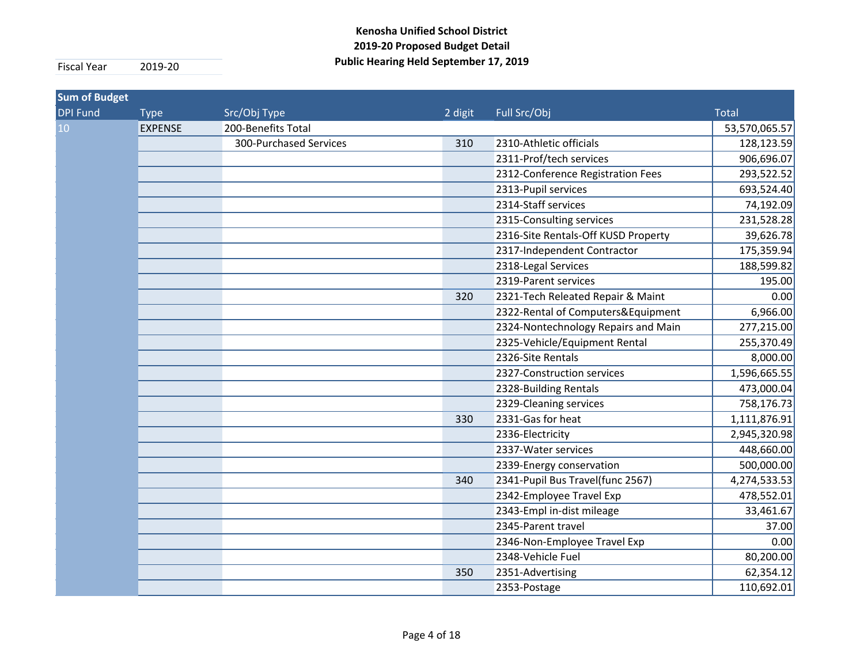| <b>Sum of Budget</b> |                |                        |         |                                     |               |
|----------------------|----------------|------------------------|---------|-------------------------------------|---------------|
| <b>DPI Fund</b>      | <b>Type</b>    | Src/Obj Type           | 2 digit | Full Src/Obj                        | <b>Total</b>  |
| 10 <sup>°</sup>      | <b>EXPENSE</b> | 200-Benefits Total     |         |                                     | 53,570,065.57 |
|                      |                | 300-Purchased Services | 310     | 2310-Athletic officials             | 128,123.59    |
|                      |                |                        |         | 2311-Prof/tech services             | 906,696.07    |
|                      |                |                        |         | 2312-Conference Registration Fees   | 293,522.52    |
|                      |                |                        |         | 2313-Pupil services                 | 693,524.40    |
|                      |                |                        |         | 2314-Staff services                 | 74,192.09     |
|                      |                |                        |         | 2315-Consulting services            | 231,528.28    |
|                      |                |                        |         | 2316-Site Rentals-Off KUSD Property | 39,626.78     |
|                      |                |                        |         | 2317-Independent Contractor         | 175,359.94    |
|                      |                |                        |         | 2318-Legal Services                 | 188,599.82    |
|                      |                |                        |         | 2319-Parent services                | 195.00        |
|                      |                |                        | 320     | 2321-Tech Releated Repair & Maint   | 0.00          |
|                      |                |                        |         | 2322-Rental of Computers&Equipment  | 6,966.00      |
|                      |                |                        |         | 2324-Nontechnology Repairs and Main | 277,215.00    |
|                      |                |                        |         | 2325-Vehicle/Equipment Rental       | 255,370.49    |
|                      |                |                        |         | 2326-Site Rentals                   | 8,000.00      |
|                      |                |                        |         | 2327-Construction services          | 1,596,665.55  |
|                      |                |                        |         | 2328-Building Rentals               | 473,000.04    |
|                      |                |                        |         | 2329-Cleaning services              | 758,176.73    |
|                      |                |                        | 330     | 2331-Gas for heat                   | 1,111,876.91  |
|                      |                |                        |         | 2336-Electricity                    | 2,945,320.98  |
|                      |                |                        |         | 2337-Water services                 | 448,660.00    |
|                      |                |                        |         | 2339-Energy conservation            | 500,000.00    |
|                      |                |                        | 340     | 2341-Pupil Bus Travel(func 2567)    | 4,274,533.53  |
|                      |                |                        |         | 2342-Employee Travel Exp            | 478,552.01    |
|                      |                |                        |         | 2343-Empl in-dist mileage           | 33,461.67     |
|                      |                |                        |         | 2345-Parent travel                  | 37.00         |
|                      |                |                        |         | 2346-Non-Employee Travel Exp        | 0.00          |
|                      |                |                        |         | 2348-Vehicle Fuel                   | 80,200.00     |
|                      |                |                        | 350     | 2351-Advertising                    | 62,354.12     |
|                      |                |                        |         | 2353-Postage                        | 110,692.01    |
|                      |                |                        |         |                                     |               |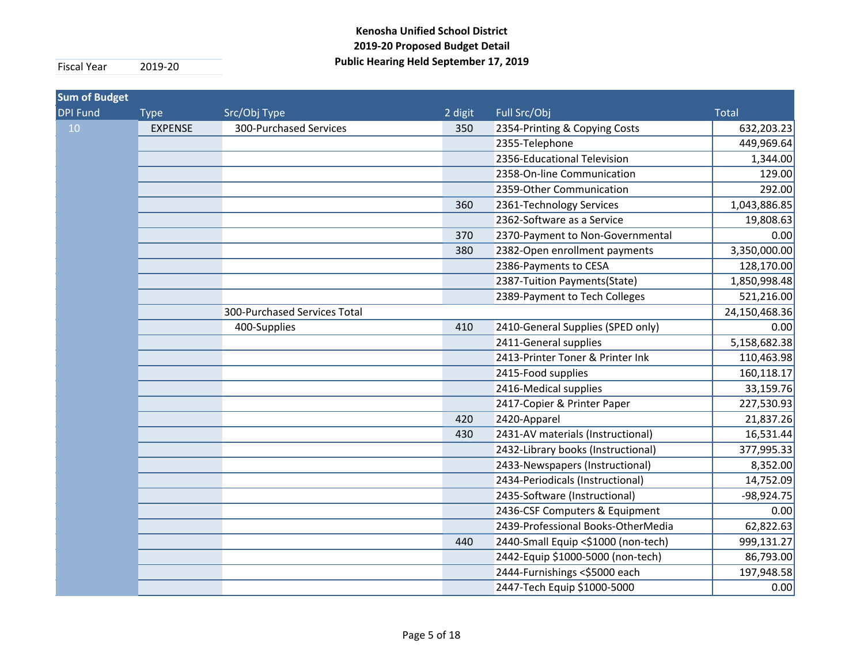| <b>Sum of Budget</b> |                |                              |         |                                     |               |
|----------------------|----------------|------------------------------|---------|-------------------------------------|---------------|
| <b>DPI Fund</b>      | <b>Type</b>    | Src/Obj Type                 | 2 digit | Full Src/Obj                        | <b>Total</b>  |
| 10                   | <b>EXPENSE</b> | 300-Purchased Services       | 350     | 2354-Printing & Copying Costs       | 632,203.23    |
|                      |                |                              |         | 2355-Telephone                      | 449,969.64    |
|                      |                |                              |         | 2356-Educational Television         | 1,344.00      |
|                      |                |                              |         | 2358-On-line Communication          | 129.00        |
|                      |                |                              |         | 2359-Other Communication            | 292.00        |
|                      |                |                              | 360     | 2361-Technology Services            | 1,043,886.85  |
|                      |                |                              |         | 2362-Software as a Service          | 19,808.63     |
|                      |                |                              | 370     | 2370-Payment to Non-Governmental    | 0.00          |
|                      |                |                              | 380     | 2382-Open enrollment payments       | 3,350,000.00  |
|                      |                |                              |         | 2386-Payments to CESA               | 128,170.00    |
|                      |                |                              |         | 2387-Tuition Payments(State)        | 1,850,998.48  |
|                      |                |                              |         | 2389-Payment to Tech Colleges       | 521,216.00    |
|                      |                | 300-Purchased Services Total |         |                                     | 24,150,468.36 |
|                      |                | 400-Supplies                 | 410     | 2410-General Supplies (SPED only)   | 0.00          |
|                      |                |                              |         | 2411-General supplies               | 5,158,682.38  |
|                      |                |                              |         | 2413-Printer Toner & Printer Ink    | 110,463.98    |
|                      |                |                              |         | 2415-Food supplies                  | 160,118.17    |
|                      |                |                              |         | 2416-Medical supplies               | 33,159.76     |
|                      |                |                              |         | 2417-Copier & Printer Paper         | 227,530.93    |
|                      |                |                              | 420     | 2420-Apparel                        | 21,837.26     |
|                      |                |                              | 430     | 2431-AV materials (Instructional)   | 16,531.44     |
|                      |                |                              |         | 2432-Library books (Instructional)  | 377,995.33    |
|                      |                |                              |         | 2433-Newspapers (Instructional)     | 8,352.00      |
|                      |                |                              |         | 2434-Periodicals (Instructional)    | 14,752.09     |
|                      |                |                              |         | 2435-Software (Instructional)       | $-98,924.75$  |
|                      |                |                              |         | 2436-CSF Computers & Equipment      | 0.00          |
|                      |                |                              |         | 2439-Professional Books-OtherMedia  | 62,822.63     |
|                      |                |                              | 440     | 2440-Small Equip <\$1000 (non-tech) | 999,131.27    |
|                      |                |                              |         | 2442-Equip \$1000-5000 (non-tech)   | 86,793.00     |
|                      |                |                              |         | 2444-Furnishings <\$5000 each       | 197,948.58    |
|                      |                |                              |         | 2447-Tech Equip \$1000-5000         | 0.00          |
|                      |                |                              |         |                                     |               |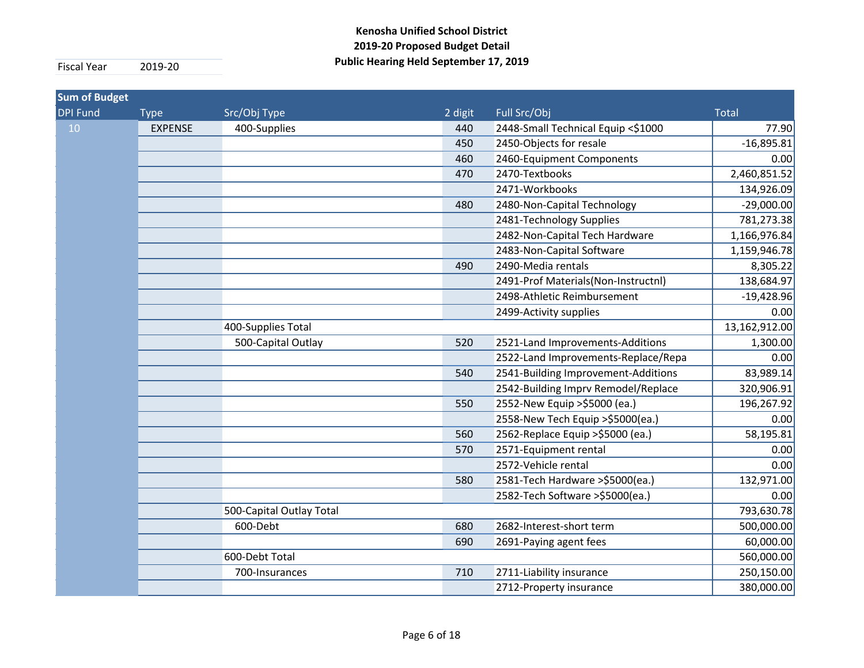| <b>Sum of Budget</b> |                |                          |         |                                     |               |
|----------------------|----------------|--------------------------|---------|-------------------------------------|---------------|
| <b>DPI Fund</b>      | <b>Type</b>    | Src/Obj Type             | 2 digit | Full Src/Obj                        | <b>Total</b>  |
| 10                   | <b>EXPENSE</b> | 400-Supplies             | 440     | 2448-Small Technical Equip <\$1000  | 77.90         |
|                      |                |                          | 450     | 2450-Objects for resale             | $-16,895.81$  |
|                      |                |                          | 460     | 2460-Equipment Components           | 0.00          |
|                      |                |                          | 470     | 2470-Textbooks                      | 2,460,851.52  |
|                      |                |                          |         | 2471-Workbooks                      | 134,926.09    |
|                      |                |                          | 480     | 2480-Non-Capital Technology         | $-29,000.00$  |
|                      |                |                          |         | 2481-Technology Supplies            | 781,273.38    |
|                      |                |                          |         | 2482-Non-Capital Tech Hardware      | 1,166,976.84  |
|                      |                |                          |         | 2483-Non-Capital Software           | 1,159,946.78  |
|                      |                |                          | 490     | 2490-Media rentals                  | 8,305.22      |
|                      |                |                          |         | 2491-Prof Materials(Non-Instructnl) | 138,684.97    |
|                      |                |                          |         | 2498-Athletic Reimbursement         | $-19,428.96$  |
|                      |                |                          |         | 2499-Activity supplies              | 0.00          |
|                      |                | 400-Supplies Total       |         |                                     | 13,162,912.00 |
|                      |                | 500-Capital Outlay       | 520     | 2521-Land Improvements-Additions    | 1,300.00      |
|                      |                |                          |         | 2522-Land Improvements-Replace/Repa | 0.00          |
|                      |                |                          | 540     | 2541-Building Improvement-Additions | 83,989.14     |
|                      |                |                          |         | 2542-Building Imprv Remodel/Replace | 320,906.91    |
|                      |                |                          | 550     | 2552-New Equip > \$5000 (ea.)       | 196,267.92    |
|                      |                |                          |         | 2558-New Tech Equip > \$5000(ea.)   | 0.00          |
|                      |                |                          | 560     | 2562-Replace Equip > \$5000 (ea.)   | 58,195.81     |
|                      |                |                          | 570     | 2571-Equipment rental               | 0.00          |
|                      |                |                          |         | 2572-Vehicle rental                 | 0.00          |
|                      |                |                          | 580     | 2581-Tech Hardware > \$5000 (ea.)   | 132,971.00    |
|                      |                |                          |         | 2582-Tech Software > \$5000 (ea.)   | 0.00          |
|                      |                | 500-Capital Outlay Total |         |                                     | 793,630.78    |
|                      |                | 600-Debt                 | 680     | 2682-Interest-short term            | 500,000.00    |
|                      |                |                          | 690     | 2691-Paying agent fees              | 60,000.00     |
|                      |                | 600-Debt Total           |         |                                     | 560,000.00    |
|                      |                | 700-Insurances           | 710     | 2711-Liability insurance            | 250,150.00    |
|                      |                |                          |         | 2712-Property insurance             | 380,000.00    |
|                      |                |                          |         |                                     |               |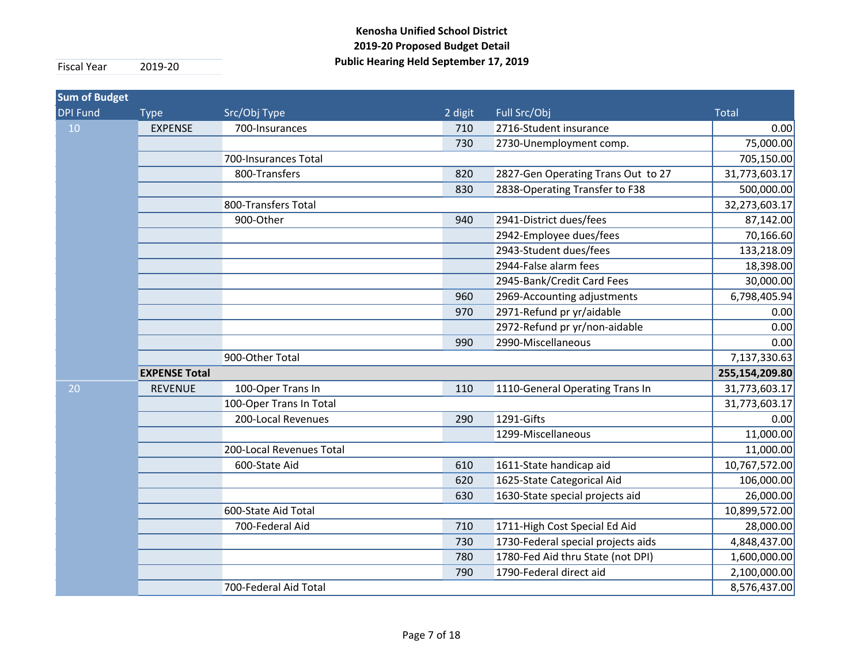| <b>Sum of Budget</b> |                      |                          |         |                                    |               |  |  |
|----------------------|----------------------|--------------------------|---------|------------------------------------|---------------|--|--|
| DPI Fund             | <b>Type</b>          | Src/Obj Type             | 2 digit | Full Src/Obj                       | <b>Total</b>  |  |  |
| 10                   | <b>EXPENSE</b>       | 700-Insurances           | 710     | 2716-Student insurance             | 0.00          |  |  |
|                      |                      |                          | 730     | 2730-Unemployment comp.            | 75,000.00     |  |  |
|                      |                      | 700-Insurances Total     |         |                                    | 705,150.00    |  |  |
|                      |                      | 800-Transfers            | 820     | 2827-Gen Operating Trans Out to 27 | 31,773,603.17 |  |  |
|                      |                      |                          | 830     | 2838-Operating Transfer to F38     | 500,000.00    |  |  |
|                      |                      | 800-Transfers Total      |         |                                    | 32,273,603.17 |  |  |
|                      |                      | 900-Other                | 940     | 2941-District dues/fees            | 87,142.00     |  |  |
|                      |                      |                          |         | 2942-Employee dues/fees            | 70,166.60     |  |  |
|                      |                      |                          |         | 2943-Student dues/fees             | 133,218.09    |  |  |
|                      |                      |                          |         | 2944-False alarm fees              | 18,398.00     |  |  |
|                      |                      |                          |         | 2945-Bank/Credit Card Fees         | 30,000.00     |  |  |
|                      |                      |                          | 960     | 2969-Accounting adjustments        | 6,798,405.94  |  |  |
|                      |                      |                          | 970     | 2971-Refund pr yr/aidable          | 0.00          |  |  |
|                      |                      |                          |         | 2972-Refund pr yr/non-aidable      | 0.00          |  |  |
|                      |                      |                          | 990     | 2990-Miscellaneous                 | 0.00          |  |  |
|                      | 900-Other Total      |                          |         |                                    |               |  |  |
|                      | <b>EXPENSE Total</b> |                          |         |                                    |               |  |  |
| 20                   | <b>REVENUE</b>       | 100-Oper Trans In        | 110     | 1110-General Operating Trans In    | 31,773,603.17 |  |  |
|                      |                      | 100-Oper Trans In Total  |         |                                    | 31,773,603.17 |  |  |
|                      |                      | 200-Local Revenues       | 290     | 1291-Gifts                         | 0.00          |  |  |
|                      |                      |                          |         | 1299-Miscellaneous                 | 11,000.00     |  |  |
|                      |                      | 200-Local Revenues Total |         |                                    | 11,000.00     |  |  |
|                      |                      | 600-State Aid            | 610     | 1611-State handicap aid            | 10,767,572.00 |  |  |
|                      |                      |                          | 620     | 1625-State Categorical Aid         | 106,000.00    |  |  |
|                      |                      |                          | 630     | 1630-State special projects aid    | 26,000.00     |  |  |
|                      |                      | 600-State Aid Total      |         |                                    | 10,899,572.00 |  |  |
|                      |                      | 700-Federal Aid          | 710     | 1711-High Cost Special Ed Aid      | 28,000.00     |  |  |
|                      |                      |                          | 730     | 1730-Federal special projects aids | 4,848,437.00  |  |  |
|                      |                      |                          | 780     | 1780-Fed Aid thru State (not DPI)  | 1,600,000.00  |  |  |
|                      |                      |                          | 790     | 1790-Federal direct aid            | 2,100,000.00  |  |  |
|                      |                      | 700-Federal Aid Total    |         |                                    | 8,576,437.00  |  |  |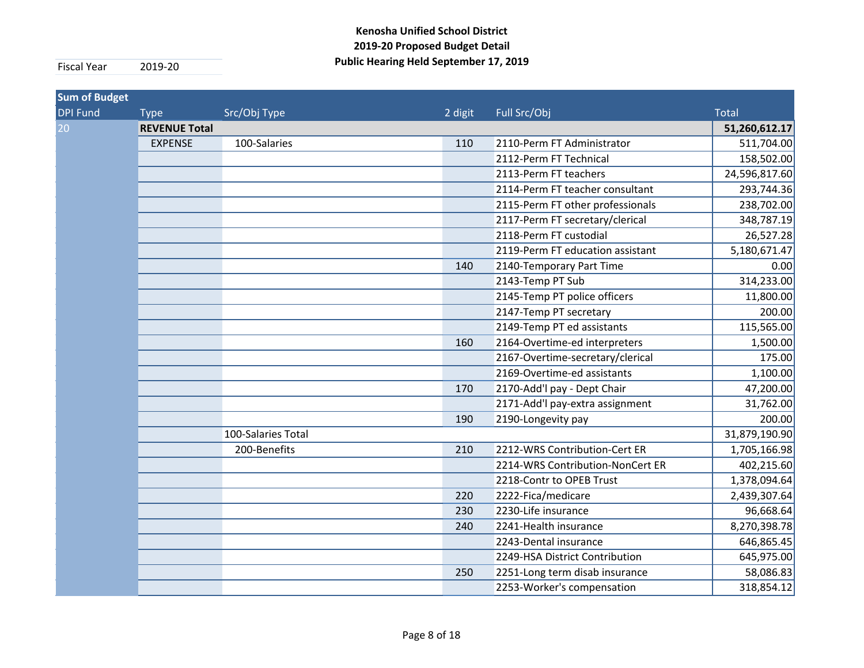| <b>Sum of Budget</b> |                      |                    |         |                                  |               |
|----------------------|----------------------|--------------------|---------|----------------------------------|---------------|
| <b>DPI Fund</b>      | <b>Type</b>          | Src/Obj Type       | 2 digit | Full Src/Obj                     | <b>Total</b>  |
| 20 <sub>1</sub>      | <b>REVENUE Total</b> |                    |         |                                  | 51,260,612.17 |
|                      | <b>EXPENSE</b>       | 100-Salaries       | 110     | 2110-Perm FT Administrator       | 511,704.00    |
|                      |                      |                    |         | 2112-Perm FT Technical           | 158,502.00    |
|                      |                      |                    |         | 2113-Perm FT teachers            | 24,596,817.60 |
|                      |                      |                    |         | 2114-Perm FT teacher consultant  | 293,744.36    |
|                      |                      |                    |         | 2115-Perm FT other professionals | 238,702.00    |
|                      |                      |                    |         | 2117-Perm FT secretary/clerical  | 348,787.19    |
|                      |                      |                    |         | 2118-Perm FT custodial           | 26,527.28     |
|                      |                      |                    |         | 2119-Perm FT education assistant | 5,180,671.47  |
|                      |                      |                    | 140     | 2140-Temporary Part Time         | 0.00          |
|                      |                      |                    |         | 2143-Temp PT Sub                 | 314,233.00    |
|                      |                      |                    |         | 2145-Temp PT police officers     | 11,800.00     |
|                      |                      |                    |         | 2147-Temp PT secretary           | 200.00        |
|                      |                      |                    |         | 2149-Temp PT ed assistants       | 115,565.00    |
|                      |                      |                    | 160     | 2164-Overtime-ed interpreters    | 1,500.00      |
|                      |                      |                    |         | 2167-Overtime-secretary/clerical | 175.00        |
|                      |                      |                    |         | 2169-Overtime-ed assistants      | 1,100.00      |
|                      |                      |                    | 170     | 2170-Add'l pay - Dept Chair      | 47,200.00     |
|                      |                      |                    |         | 2171-Add'l pay-extra assignment  | 31,762.00     |
|                      |                      |                    | 190     | 2190-Longevity pay               | 200.00        |
|                      |                      | 100-Salaries Total |         |                                  | 31,879,190.90 |
|                      |                      | 200-Benefits       | 210     | 2212-WRS Contribution-Cert ER    | 1,705,166.98  |
|                      |                      |                    |         | 2214-WRS Contribution-NonCert ER | 402,215.60    |
|                      |                      |                    |         | 2218-Contr to OPEB Trust         | 1,378,094.64  |
|                      |                      |                    | 220     | 2222-Fica/medicare               | 2,439,307.64  |
|                      |                      |                    | 230     | 2230-Life insurance              | 96,668.64     |
|                      |                      |                    | 240     | 2241-Health insurance            | 8,270,398.78  |
|                      |                      |                    |         | 2243-Dental insurance            | 646,865.45    |
|                      |                      |                    |         | 2249-HSA District Contribution   | 645,975.00    |
|                      |                      |                    | 250     | 2251-Long term disab insurance   | 58,086.83     |
|                      |                      |                    |         | 2253-Worker's compensation       | 318,854.12    |
|                      |                      |                    |         |                                  |               |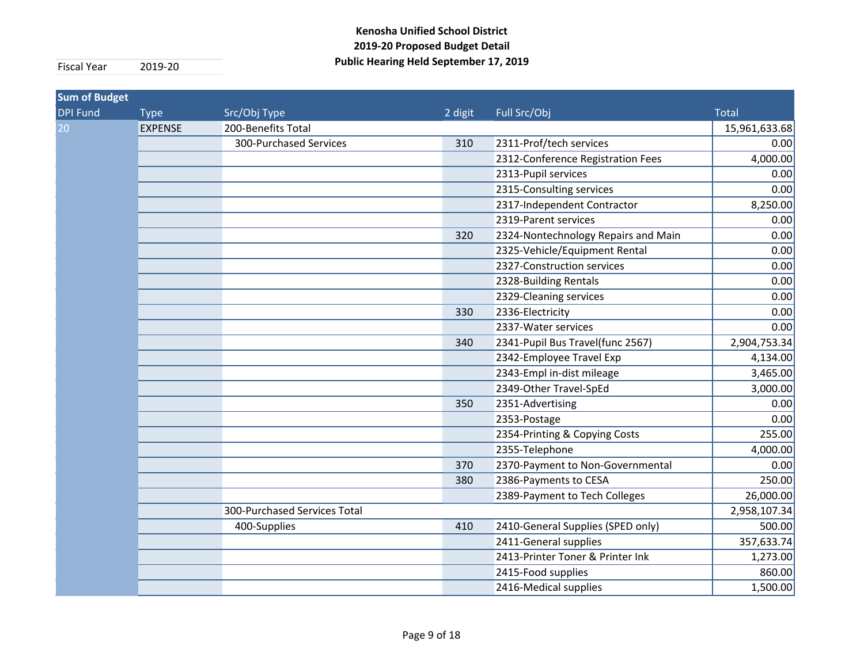| <b>Sum of Budget</b> |                |                              |         |                                     |               |
|----------------------|----------------|------------------------------|---------|-------------------------------------|---------------|
| <b>DPI Fund</b>      | <b>Type</b>    | Src/Obj Type                 | 2 digit | Full Src/Obj                        | <b>Total</b>  |
| 20 <sup>°</sup>      | <b>EXPENSE</b> | 200-Benefits Total           |         |                                     | 15,961,633.68 |
|                      |                | 300-Purchased Services       | 310     | 2311-Prof/tech services             | 0.00          |
|                      |                |                              |         | 2312-Conference Registration Fees   | 4,000.00      |
|                      |                |                              |         | 2313-Pupil services                 | 0.00          |
|                      |                |                              |         | 2315-Consulting services            | 0.00          |
|                      |                |                              |         | 2317-Independent Contractor         | 8,250.00      |
|                      |                |                              |         | 2319-Parent services                | 0.00          |
|                      |                |                              | 320     | 2324-Nontechnology Repairs and Main | 0.00          |
|                      |                |                              |         | 2325-Vehicle/Equipment Rental       | 0.00          |
|                      |                |                              |         | 2327-Construction services          | 0.00          |
|                      |                |                              |         | 2328-Building Rentals               | 0.00          |
|                      |                |                              |         | 2329-Cleaning services              | 0.00          |
|                      |                |                              | 330     | 2336-Electricity                    | 0.00          |
|                      |                |                              |         | 2337-Water services                 | 0.00          |
|                      |                |                              | 340     | 2341-Pupil Bus Travel(func 2567)    | 2,904,753.34  |
|                      |                |                              |         | 2342-Employee Travel Exp            | 4,134.00      |
|                      |                |                              |         | 2343-Empl in-dist mileage           | 3,465.00      |
|                      |                |                              |         | 2349-Other Travel-SpEd              | 3,000.00      |
|                      |                |                              | 350     | 2351-Advertising                    | 0.00          |
|                      |                |                              |         | 2353-Postage                        | 0.00          |
|                      |                |                              |         | 2354-Printing & Copying Costs       | 255.00        |
|                      |                |                              |         | 2355-Telephone                      | 4,000.00      |
|                      |                |                              | 370     | 2370-Payment to Non-Governmental    | 0.00          |
|                      |                |                              | 380     | 2386-Payments to CESA               | 250.00        |
|                      |                |                              |         | 2389-Payment to Tech Colleges       | 26,000.00     |
|                      |                | 300-Purchased Services Total |         |                                     | 2,958,107.34  |
|                      |                | 400-Supplies                 | 410     | 2410-General Supplies (SPED only)   | 500.00        |
|                      |                |                              |         | 2411-General supplies               | 357,633.74    |
|                      |                |                              |         | 2413-Printer Toner & Printer Ink    | 1,273.00      |
|                      |                |                              |         | 2415-Food supplies                  | 860.00        |
|                      |                |                              |         | 2416-Medical supplies               | 1,500.00      |
|                      |                |                              |         |                                     |               |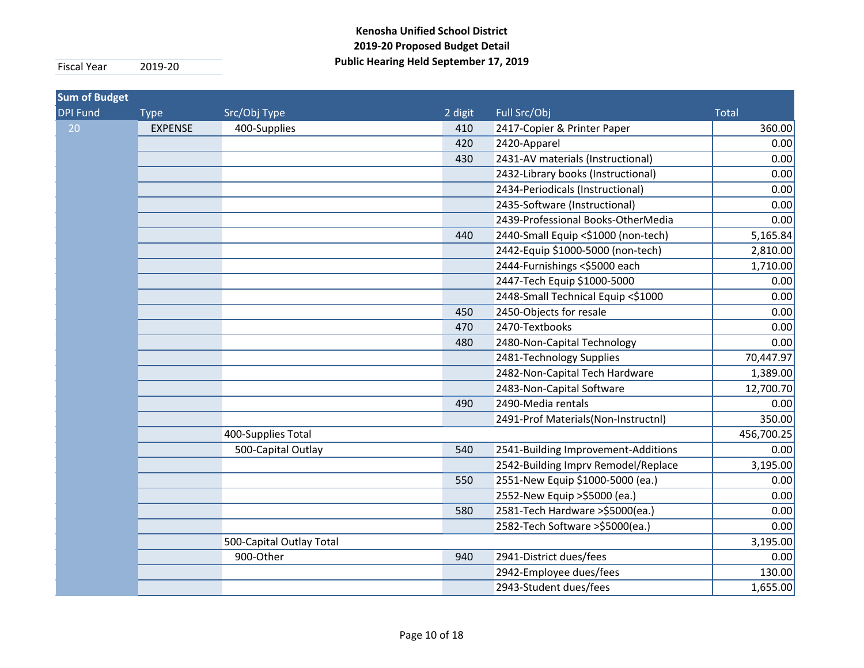| <b>Sum of Budget</b> |                |                          |         |                                     |              |
|----------------------|----------------|--------------------------|---------|-------------------------------------|--------------|
| <b>DPI Fund</b>      | <b>Type</b>    | Src/Obj Type             | 2 digit | Full Src/Obj                        | <b>Total</b> |
| 20                   | <b>EXPENSE</b> | 400-Supplies             | 410     | 2417-Copier & Printer Paper         | 360.00       |
|                      |                |                          | 420     | 2420-Apparel                        | 0.00         |
|                      |                |                          | 430     | 2431-AV materials (Instructional)   | 0.00         |
|                      |                |                          |         | 2432-Library books (Instructional)  | 0.00         |
|                      |                |                          |         | 2434-Periodicals (Instructional)    | 0.00         |
|                      |                |                          |         | 2435-Software (Instructional)       | 0.00         |
|                      |                |                          |         | 2439-Professional Books-OtherMedia  | 0.00         |
|                      |                |                          | 440     | 2440-Small Equip <\$1000 (non-tech) | 5,165.84     |
|                      |                |                          |         | 2442-Equip \$1000-5000 (non-tech)   | 2,810.00     |
|                      |                |                          |         | 2444-Furnishings <\$5000 each       | 1,710.00     |
|                      |                |                          |         | 2447-Tech Equip \$1000-5000         | 0.00         |
|                      |                |                          |         | 2448-Small Technical Equip <\$1000  | 0.00         |
|                      |                |                          | 450     | 2450-Objects for resale             | 0.00         |
|                      |                |                          | 470     | 2470-Textbooks                      | 0.00         |
|                      |                |                          | 480     | 2480-Non-Capital Technology         | 0.00         |
|                      |                |                          |         | 2481-Technology Supplies            | 70,447.97    |
|                      |                |                          |         | 2482-Non-Capital Tech Hardware      | 1,389.00     |
|                      |                |                          |         | 2483-Non-Capital Software           | 12,700.70    |
|                      |                |                          | 490     | 2490-Media rentals                  | 0.00         |
|                      |                |                          |         | 2491-Prof Materials(Non-Instructnl) | 350.00       |
|                      |                | 400-Supplies Total       |         |                                     | 456,700.25   |
|                      |                | 500-Capital Outlay       | 540     | 2541-Building Improvement-Additions | 0.00         |
|                      |                |                          |         | 2542-Building Imprv Remodel/Replace | 3,195.00     |
|                      |                |                          | 550     | 2551-New Equip \$1000-5000 (ea.)    | 0.00         |
|                      |                |                          |         | 2552-New Equip > \$5000 (ea.)       | 0.00         |
|                      |                |                          | 580     | 2581-Tech Hardware > \$5000 (ea.)   | 0.00         |
|                      |                |                          |         | 2582-Tech Software >\$5000(ea.)     | 0.00         |
|                      |                | 500-Capital Outlay Total |         |                                     | 3,195.00     |
|                      |                | 900-Other                | 940     | 2941-District dues/fees             | 0.00         |
|                      |                |                          |         | 2942-Employee dues/fees             | 130.00       |
|                      |                |                          |         | 2943-Student dues/fees              | 1,655.00     |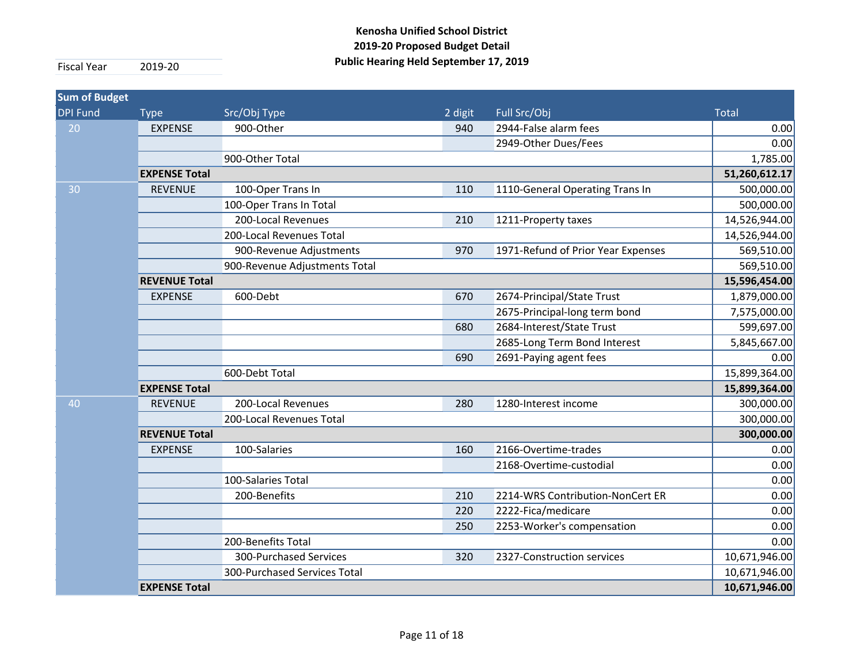| <b>Sum of Budget</b> |                      |                               |         |                                    |               |
|----------------------|----------------------|-------------------------------|---------|------------------------------------|---------------|
| <b>DPI Fund</b>      | <b>Type</b>          | Src/Obj Type                  | 2 digit | Full Src/Obj                       | <b>Total</b>  |
| 20                   | <b>EXPENSE</b>       | 900-Other                     | 940     | 2944-False alarm fees              | 0.00          |
|                      |                      |                               |         | 2949-Other Dues/Fees               | 0.00          |
|                      |                      | 900-Other Total               |         |                                    | 1,785.00      |
|                      | <b>EXPENSE Total</b> |                               |         |                                    | 51,260,612.17 |
| 30                   | <b>REVENUE</b>       | 100-Oper Trans In             | 110     | 1110-General Operating Trans In    | 500,000.00    |
|                      |                      | 100-Oper Trans In Total       |         |                                    | 500,000.00    |
|                      |                      | 200-Local Revenues            | 210     | 1211-Property taxes                | 14,526,944.00 |
|                      |                      | 200-Local Revenues Total      |         |                                    | 14,526,944.00 |
|                      |                      | 900-Revenue Adjustments       | 970     | 1971-Refund of Prior Year Expenses | 569,510.00    |
|                      |                      | 900-Revenue Adjustments Total |         |                                    | 569,510.00    |
|                      | <b>REVENUE Total</b> |                               |         |                                    | 15,596,454.00 |
|                      | <b>EXPENSE</b>       | 600-Debt                      | 670     | 2674-Principal/State Trust         | 1,879,000.00  |
|                      |                      |                               |         | 2675-Principal-long term bond      | 7,575,000.00  |
|                      |                      |                               | 680     | 2684-Interest/State Trust          | 599,697.00    |
|                      |                      |                               |         | 2685-Long Term Bond Interest       | 5,845,667.00  |
|                      |                      |                               | 690     | 2691-Paying agent fees             | 0.00          |
|                      |                      | 600-Debt Total                |         |                                    | 15,899,364.00 |
|                      | <b>EXPENSE Total</b> |                               |         |                                    | 15,899,364.00 |
| 40                   | <b>REVENUE</b>       | 200-Local Revenues            | 280     | 1280-Interest income               | 300,000.00    |
|                      |                      | 200-Local Revenues Total      |         |                                    | 300,000.00    |
|                      | <b>REVENUE Total</b> |                               |         |                                    | 300,000.00    |
|                      | <b>EXPENSE</b>       | 100-Salaries                  | 160     | 2166-Overtime-trades               | 0.00          |
|                      |                      |                               |         | 2168-Overtime-custodial            | 0.00          |
|                      |                      | 100-Salaries Total            |         |                                    | 0.00          |
|                      |                      | 200-Benefits                  | 210     | 2214-WRS Contribution-NonCert ER   | 0.00          |
|                      |                      |                               | 220     | 2222-Fica/medicare                 | 0.00          |
|                      |                      |                               | 250     | 2253-Worker's compensation         | 0.00          |
|                      |                      | 200-Benefits Total            |         |                                    | 0.00          |
|                      |                      | 300-Purchased Services        | 320     | 2327-Construction services         | 10,671,946.00 |
|                      |                      | 300-Purchased Services Total  |         |                                    | 10,671,946.00 |
|                      | <b>EXPENSE Total</b> |                               |         |                                    | 10,671,946.00 |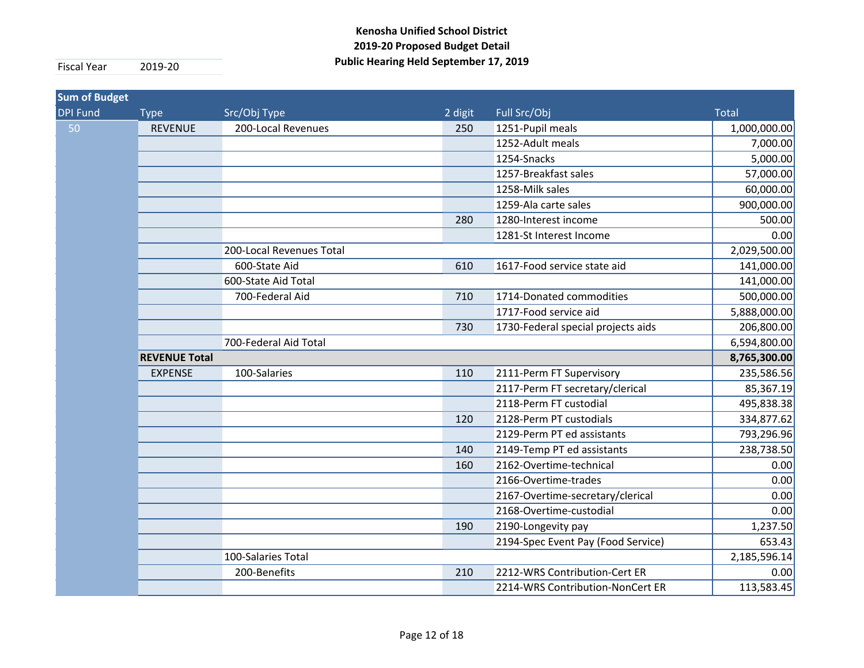| <b>DPI Fund</b><br>Src/Obj Type<br>2 digit<br>Full Src/Obj<br><b>Total</b><br><b>Type</b><br>50<br><b>REVENUE</b><br>200-Local Revenues<br>1251-Pupil meals<br>250<br>1252-Adult meals<br>1254-Snacks<br>1257-Breakfast sales<br>1258-Milk sales<br>1259-Ala carte sales<br>280<br>1280-Interest income<br>1281-St Interest Income<br>200-Local Revenues Total<br>600-State Aid<br>1617-Food service state aid<br>610<br>600-State Aid Total<br>700-Federal Aid<br>710<br>1714-Donated commodities<br>1717-Food service aid<br>1730-Federal special projects aids<br>730<br>700-Federal Aid Total<br><b>REVENUE Total</b><br>2111-Perm FT Supervisory<br><b>EXPENSE</b><br>100-Salaries<br>110<br>2117-Perm FT secretary/clerical<br>2118-Perm FT custodial<br>2128-Perm PT custodials<br>120<br>2129-Perm PT ed assistants<br>2149-Temp PT ed assistants<br>140<br>2162-Overtime-technical<br>160<br>2166-Overtime-trades<br>2167-Overtime-secretary/clerical<br>2168-Overtime-custodial<br>2190-Longevity pay<br>190<br>2194-Spec Event Pay (Food Service) | <b>Sum of Budget</b> |                    |  |              |
|--------------------------------------------------------------------------------------------------------------------------------------------------------------------------------------------------------------------------------------------------------------------------------------------------------------------------------------------------------------------------------------------------------------------------------------------------------------------------------------------------------------------------------------------------------------------------------------------------------------------------------------------------------------------------------------------------------------------------------------------------------------------------------------------------------------------------------------------------------------------------------------------------------------------------------------------------------------------------------------------------------------------------------------------------------------|----------------------|--------------------|--|--------------|
|                                                                                                                                                                                                                                                                                                                                                                                                                                                                                                                                                                                                                                                                                                                                                                                                                                                                                                                                                                                                                                                              |                      |                    |  |              |
|                                                                                                                                                                                                                                                                                                                                                                                                                                                                                                                                                                                                                                                                                                                                                                                                                                                                                                                                                                                                                                                              |                      |                    |  | 1,000,000.00 |
|                                                                                                                                                                                                                                                                                                                                                                                                                                                                                                                                                                                                                                                                                                                                                                                                                                                                                                                                                                                                                                                              |                      |                    |  | 7,000.00     |
|                                                                                                                                                                                                                                                                                                                                                                                                                                                                                                                                                                                                                                                                                                                                                                                                                                                                                                                                                                                                                                                              |                      |                    |  | 5,000.00     |
|                                                                                                                                                                                                                                                                                                                                                                                                                                                                                                                                                                                                                                                                                                                                                                                                                                                                                                                                                                                                                                                              |                      |                    |  | 57,000.00    |
|                                                                                                                                                                                                                                                                                                                                                                                                                                                                                                                                                                                                                                                                                                                                                                                                                                                                                                                                                                                                                                                              |                      |                    |  | 60,000.00    |
|                                                                                                                                                                                                                                                                                                                                                                                                                                                                                                                                                                                                                                                                                                                                                                                                                                                                                                                                                                                                                                                              |                      |                    |  | 900,000.00   |
|                                                                                                                                                                                                                                                                                                                                                                                                                                                                                                                                                                                                                                                                                                                                                                                                                                                                                                                                                                                                                                                              |                      |                    |  | 500.00       |
|                                                                                                                                                                                                                                                                                                                                                                                                                                                                                                                                                                                                                                                                                                                                                                                                                                                                                                                                                                                                                                                              |                      |                    |  | 0.00         |
|                                                                                                                                                                                                                                                                                                                                                                                                                                                                                                                                                                                                                                                                                                                                                                                                                                                                                                                                                                                                                                                              |                      |                    |  | 2,029,500.00 |
|                                                                                                                                                                                                                                                                                                                                                                                                                                                                                                                                                                                                                                                                                                                                                                                                                                                                                                                                                                                                                                                              |                      |                    |  | 141,000.00   |
|                                                                                                                                                                                                                                                                                                                                                                                                                                                                                                                                                                                                                                                                                                                                                                                                                                                                                                                                                                                                                                                              |                      |                    |  | 141,000.00   |
|                                                                                                                                                                                                                                                                                                                                                                                                                                                                                                                                                                                                                                                                                                                                                                                                                                                                                                                                                                                                                                                              |                      |                    |  | 500,000.00   |
|                                                                                                                                                                                                                                                                                                                                                                                                                                                                                                                                                                                                                                                                                                                                                                                                                                                                                                                                                                                                                                                              |                      |                    |  | 5,888,000.00 |
|                                                                                                                                                                                                                                                                                                                                                                                                                                                                                                                                                                                                                                                                                                                                                                                                                                                                                                                                                                                                                                                              |                      |                    |  | 206,800.00   |
|                                                                                                                                                                                                                                                                                                                                                                                                                                                                                                                                                                                                                                                                                                                                                                                                                                                                                                                                                                                                                                                              |                      |                    |  | 6,594,800.00 |
|                                                                                                                                                                                                                                                                                                                                                                                                                                                                                                                                                                                                                                                                                                                                                                                                                                                                                                                                                                                                                                                              |                      |                    |  | 8,765,300.00 |
|                                                                                                                                                                                                                                                                                                                                                                                                                                                                                                                                                                                                                                                                                                                                                                                                                                                                                                                                                                                                                                                              |                      |                    |  | 235,586.56   |
|                                                                                                                                                                                                                                                                                                                                                                                                                                                                                                                                                                                                                                                                                                                                                                                                                                                                                                                                                                                                                                                              |                      |                    |  | 85,367.19    |
|                                                                                                                                                                                                                                                                                                                                                                                                                                                                                                                                                                                                                                                                                                                                                                                                                                                                                                                                                                                                                                                              |                      |                    |  | 495,838.38   |
|                                                                                                                                                                                                                                                                                                                                                                                                                                                                                                                                                                                                                                                                                                                                                                                                                                                                                                                                                                                                                                                              |                      |                    |  | 334,877.62   |
|                                                                                                                                                                                                                                                                                                                                                                                                                                                                                                                                                                                                                                                                                                                                                                                                                                                                                                                                                                                                                                                              |                      |                    |  | 793,296.96   |
|                                                                                                                                                                                                                                                                                                                                                                                                                                                                                                                                                                                                                                                                                                                                                                                                                                                                                                                                                                                                                                                              |                      |                    |  | 238,738.50   |
|                                                                                                                                                                                                                                                                                                                                                                                                                                                                                                                                                                                                                                                                                                                                                                                                                                                                                                                                                                                                                                                              |                      |                    |  | 0.00         |
|                                                                                                                                                                                                                                                                                                                                                                                                                                                                                                                                                                                                                                                                                                                                                                                                                                                                                                                                                                                                                                                              |                      |                    |  | 0.00         |
|                                                                                                                                                                                                                                                                                                                                                                                                                                                                                                                                                                                                                                                                                                                                                                                                                                                                                                                                                                                                                                                              |                      |                    |  | 0.00         |
|                                                                                                                                                                                                                                                                                                                                                                                                                                                                                                                                                                                                                                                                                                                                                                                                                                                                                                                                                                                                                                                              |                      |                    |  | 0.00         |
|                                                                                                                                                                                                                                                                                                                                                                                                                                                                                                                                                                                                                                                                                                                                                                                                                                                                                                                                                                                                                                                              |                      |                    |  | 1,237.50     |
|                                                                                                                                                                                                                                                                                                                                                                                                                                                                                                                                                                                                                                                                                                                                                                                                                                                                                                                                                                                                                                                              |                      |                    |  | 653.43       |
|                                                                                                                                                                                                                                                                                                                                                                                                                                                                                                                                                                                                                                                                                                                                                                                                                                                                                                                                                                                                                                                              |                      | 100-Salaries Total |  | 2,185,596.14 |
| 200-Benefits<br>2212-WRS Contribution-Cert ER<br>210                                                                                                                                                                                                                                                                                                                                                                                                                                                                                                                                                                                                                                                                                                                                                                                                                                                                                                                                                                                                         |                      |                    |  | 0.00         |
| 2214-WRS Contribution-NonCert ER                                                                                                                                                                                                                                                                                                                                                                                                                                                                                                                                                                                                                                                                                                                                                                                                                                                                                                                                                                                                                             |                      |                    |  | 113,583.45   |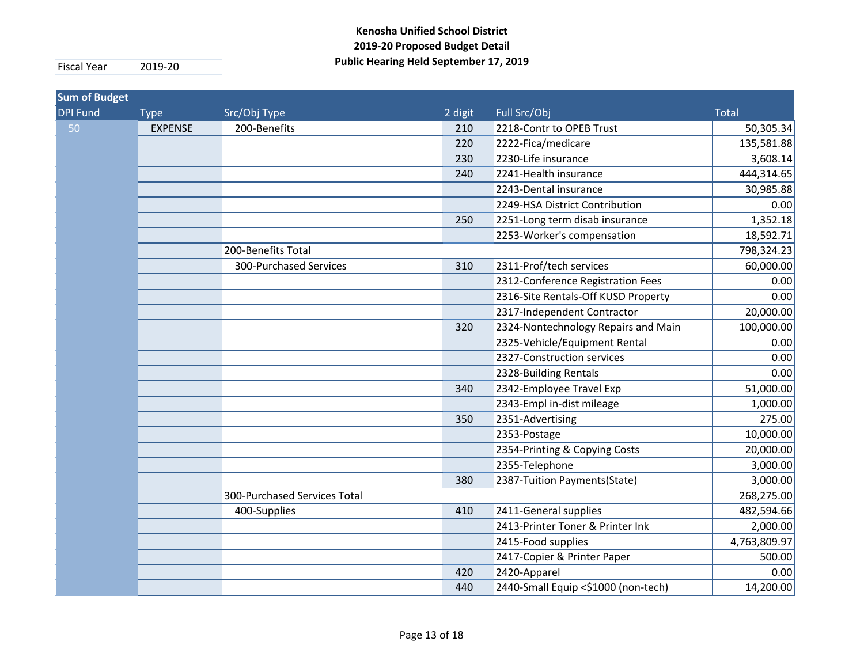| <b>Sum of Budget</b> |                |                              |         |                                     |              |
|----------------------|----------------|------------------------------|---------|-------------------------------------|--------------|
| <b>DPI Fund</b>      | <b>Type</b>    | Src/Obj Type                 | 2 digit | Full Src/Obj                        | <b>Total</b> |
| 50                   | <b>EXPENSE</b> | 200-Benefits                 | 210     | 2218-Contr to OPEB Trust            | 50,305.34    |
|                      |                |                              | 220     | 2222-Fica/medicare                  | 135,581.88   |
|                      |                |                              | 230     | 2230-Life insurance                 | 3,608.14     |
|                      |                |                              | 240     | 2241-Health insurance               | 444,314.65   |
|                      |                |                              |         | 2243-Dental insurance               | 30,985.88    |
|                      |                |                              |         | 2249-HSA District Contribution      | 0.00         |
|                      |                |                              | 250     | 2251-Long term disab insurance      | 1,352.18     |
|                      |                |                              |         | 2253-Worker's compensation          | 18,592.71    |
|                      |                | 200-Benefits Total           |         |                                     | 798,324.23   |
|                      |                | 300-Purchased Services       | 310     | 2311-Prof/tech services             | 60,000.00    |
|                      |                |                              |         | 2312-Conference Registration Fees   | 0.00         |
|                      |                |                              |         | 2316-Site Rentals-Off KUSD Property | 0.00         |
|                      |                |                              |         | 2317-Independent Contractor         | 20,000.00    |
|                      |                |                              | 320     | 2324-Nontechnology Repairs and Main | 100,000.00   |
|                      |                |                              |         | 2325-Vehicle/Equipment Rental       | 0.00         |
|                      |                |                              |         | 2327-Construction services          | 0.00         |
|                      |                |                              |         | 2328-Building Rentals               | 0.00         |
|                      |                |                              | 340     | 2342-Employee Travel Exp            | 51,000.00    |
|                      |                |                              |         | 2343-Empl in-dist mileage           | 1,000.00     |
|                      |                |                              | 350     | 2351-Advertising                    | 275.00       |
|                      |                |                              |         | 2353-Postage                        | 10,000.00    |
|                      |                |                              |         | 2354-Printing & Copying Costs       | 20,000.00    |
|                      |                |                              |         | 2355-Telephone                      | 3,000.00     |
|                      |                |                              | 380     | 2387-Tuition Payments(State)        | 3,000.00     |
|                      |                | 300-Purchased Services Total |         |                                     | 268,275.00   |
|                      |                | 400-Supplies                 | 410     | 2411-General supplies               | 482,594.66   |
|                      |                |                              |         | 2413-Printer Toner & Printer Ink    | 2,000.00     |
|                      |                |                              |         | 2415-Food supplies                  | 4,763,809.97 |
|                      |                |                              |         | 2417-Copier & Printer Paper         | 500.00       |
|                      |                |                              | 420     | 2420-Apparel                        | 0.00         |
|                      |                |                              | 440     | 2440-Small Equip <\$1000 (non-tech) | 14,200.00    |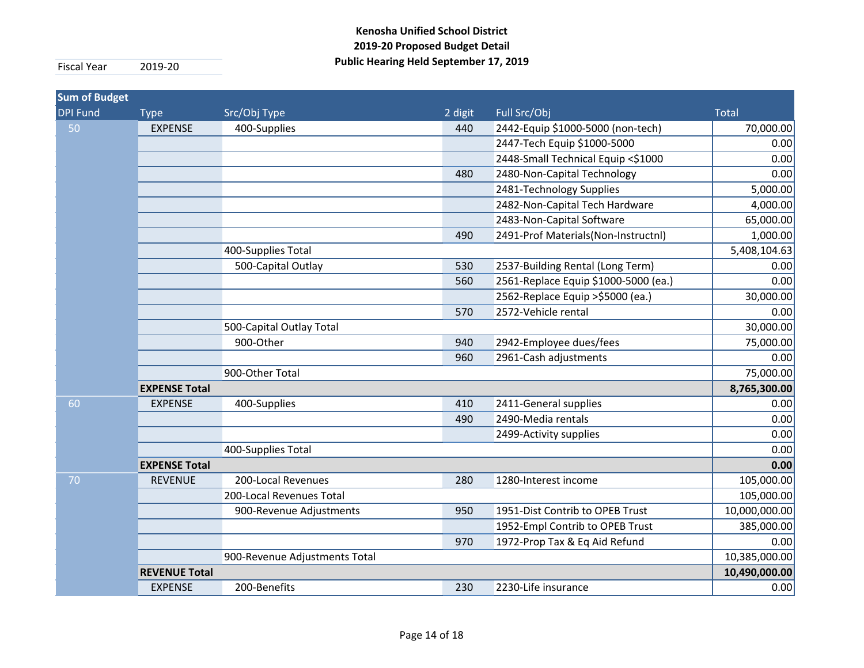| <b>Sum of Budget</b> |                      |                               |         |                                      |               |
|----------------------|----------------------|-------------------------------|---------|--------------------------------------|---------------|
| <b>DPI Fund</b>      | <b>Type</b>          | Src/Obj Type                  | 2 digit | Full Src/Obj                         | <b>Total</b>  |
| 50                   | <b>EXPENSE</b>       | 400-Supplies                  | 440     | 2442-Equip \$1000-5000 (non-tech)    | 70,000.00     |
|                      |                      |                               |         | 2447-Tech Equip \$1000-5000          | 0.00          |
|                      |                      |                               |         | 2448-Small Technical Equip <\$1000   | 0.00          |
|                      |                      |                               | 480     | 2480-Non-Capital Technology          | 0.00          |
|                      |                      |                               |         | 2481-Technology Supplies             | 5,000.00      |
|                      |                      |                               |         | 2482-Non-Capital Tech Hardware       | 4,000.00      |
|                      |                      |                               |         | 2483-Non-Capital Software            | 65,000.00     |
|                      |                      |                               | 490     | 2491-Prof Materials(Non-Instructnl)  | 1,000.00      |
|                      |                      | 400-Supplies Total            |         |                                      | 5,408,104.63  |
|                      |                      | 500-Capital Outlay            | 530     | 2537-Building Rental (Long Term)     | 0.00          |
|                      |                      |                               | 560     | 2561-Replace Equip \$1000-5000 (ea.) | 0.00          |
|                      |                      |                               |         | 2562-Replace Equip > \$5000 (ea.)    | 30,000.00     |
|                      |                      |                               | 570     | 2572-Vehicle rental                  | 0.00          |
|                      |                      | 500-Capital Outlay Total      |         |                                      | 30,000.00     |
|                      |                      | 900-Other                     | 940     | 2942-Employee dues/fees              | 75,000.00     |
|                      |                      |                               | 960     | 2961-Cash adjustments                | 0.00          |
|                      |                      | 900-Other Total               |         |                                      | 75,000.00     |
|                      | <b>EXPENSE Total</b> |                               |         |                                      | 8,765,300.00  |
| 60                   | <b>EXPENSE</b>       | 400-Supplies                  | 410     | 2411-General supplies                | 0.00          |
|                      |                      |                               | 490     | 2490-Media rentals                   | 0.00          |
|                      |                      |                               |         | 2499-Activity supplies               | 0.00          |
|                      |                      | 400-Supplies Total            |         |                                      | 0.00          |
|                      | <b>EXPENSE Total</b> |                               |         |                                      | 0.00          |
| 70                   | <b>REVENUE</b>       | 200-Local Revenues            | 280     | 1280-Interest income                 | 105,000.00    |
|                      |                      | 200-Local Revenues Total      |         |                                      | 105,000.00    |
|                      |                      | 900-Revenue Adjustments       | 950     | 1951-Dist Contrib to OPEB Trust      | 10,000,000.00 |
|                      |                      |                               |         | 1952-Empl Contrib to OPEB Trust      | 385,000.00    |
|                      |                      |                               | 970     | 1972-Prop Tax & Eq Aid Refund        | 0.00          |
|                      |                      | 900-Revenue Adjustments Total |         |                                      | 10,385,000.00 |
|                      | <b>REVENUE Total</b> |                               |         |                                      | 10,490,000.00 |
|                      | <b>EXPENSE</b>       | 200-Benefits                  | 230     | 2230-Life insurance                  | 0.00          |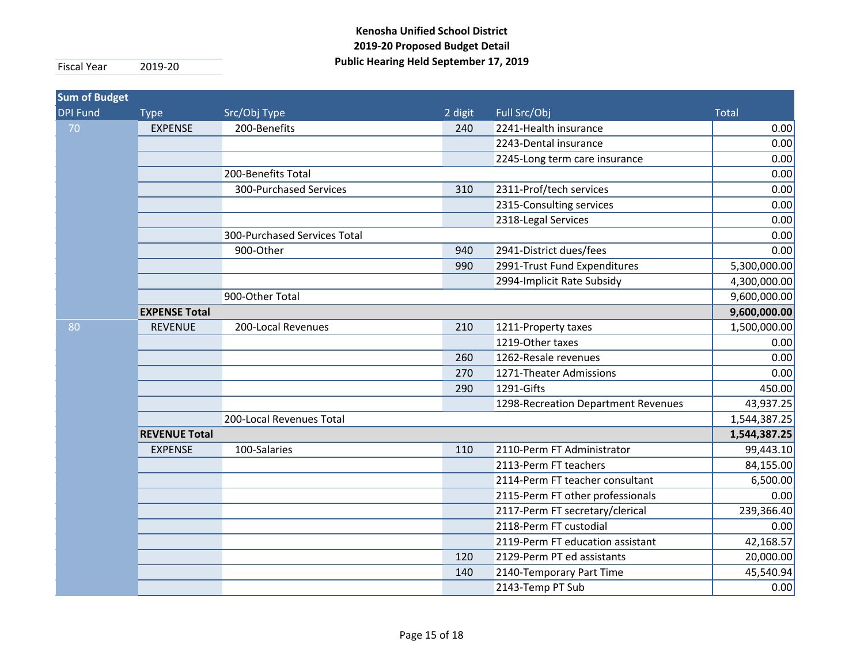| <b>Sum of Budget</b> |                      |                              |         |                                     |              |
|----------------------|----------------------|------------------------------|---------|-------------------------------------|--------------|
| <b>DPI Fund</b>      | <b>Type</b>          | Src/Obj Type                 | 2 digit | Full Src/Obj                        | <b>Total</b> |
| 70                   | <b>EXPENSE</b>       | 200-Benefits                 | 240     | 2241-Health insurance               | 0.00         |
|                      |                      |                              |         | 2243-Dental insurance               | 0.00         |
|                      |                      |                              |         | 2245-Long term care insurance       | 0.00         |
|                      |                      | 200-Benefits Total           |         |                                     | 0.00         |
|                      |                      | 300-Purchased Services       | 310     | 2311-Prof/tech services             | 0.00         |
|                      |                      |                              |         | 2315-Consulting services            | 0.00         |
|                      |                      |                              |         | 2318-Legal Services                 | 0.00         |
|                      |                      | 300-Purchased Services Total |         |                                     | 0.00         |
|                      |                      | 900-Other                    | 940     | 2941-District dues/fees             | 0.00         |
|                      |                      |                              | 990     | 2991-Trust Fund Expenditures        | 5,300,000.00 |
|                      |                      |                              |         | 2994-Implicit Rate Subsidy          | 4,300,000.00 |
|                      |                      | 900-Other Total              |         |                                     | 9,600,000.00 |
|                      | <b>EXPENSE Total</b> |                              |         |                                     | 9,600,000.00 |
| 80                   | <b>REVENUE</b>       | 200-Local Revenues           | 210     | 1211-Property taxes                 | 1,500,000.00 |
|                      |                      |                              |         | 1219-Other taxes                    | 0.00         |
|                      |                      |                              | 260     | 1262-Resale revenues                | 0.00         |
|                      |                      |                              | 270     | 1271-Theater Admissions             | 0.00         |
|                      |                      |                              | 290     | 1291-Gifts                          | 450.00       |
|                      |                      |                              |         | 1298-Recreation Department Revenues | 43,937.25    |
|                      |                      | 200-Local Revenues Total     |         |                                     | 1,544,387.25 |
|                      | <b>REVENUE Total</b> |                              |         |                                     | 1,544,387.25 |
|                      | <b>EXPENSE</b>       | 100-Salaries                 | 110     | 2110-Perm FT Administrator          | 99,443.10    |
|                      |                      |                              |         | 2113-Perm FT teachers               | 84,155.00    |
|                      |                      |                              |         | 2114-Perm FT teacher consultant     | 6,500.00     |
|                      |                      |                              |         | 2115-Perm FT other professionals    | 0.00         |
|                      |                      |                              |         | 2117-Perm FT secretary/clerical     | 239,366.40   |
|                      |                      |                              |         | 2118-Perm FT custodial              | 0.00         |
|                      |                      |                              |         | 2119-Perm FT education assistant    | 42,168.57    |
|                      |                      |                              | 120     | 2129-Perm PT ed assistants          | 20,000.00    |
|                      |                      |                              | 140     | 2140-Temporary Part Time            | 45,540.94    |
|                      |                      |                              |         | 2143-Temp PT Sub                    | 0.00         |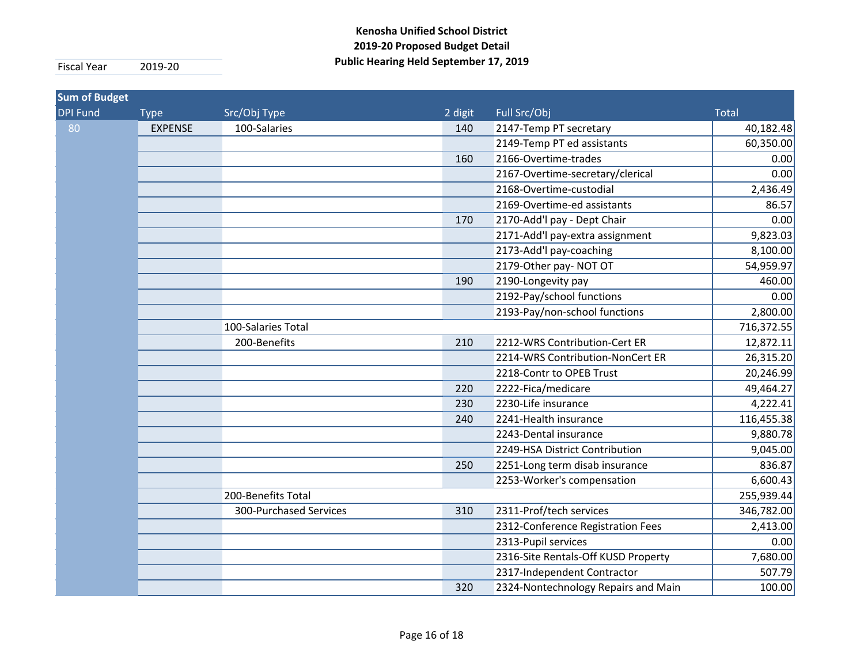| <b>Sum of Budget</b> |                |                        |         |                                     |              |
|----------------------|----------------|------------------------|---------|-------------------------------------|--------------|
| <b>DPI Fund</b>      | <b>Type</b>    | Src/Obj Type           | 2 digit | Full Src/Obj                        | <b>Total</b> |
| 80                   | <b>EXPENSE</b> | 100-Salaries           | 140     | 2147-Temp PT secretary              | 40,182.48    |
|                      |                |                        |         | 2149-Temp PT ed assistants          | 60,350.00    |
|                      |                |                        | 160     | 2166-Overtime-trades                | 0.00         |
|                      |                |                        |         | 2167-Overtime-secretary/clerical    | 0.00         |
|                      |                |                        |         | 2168-Overtime-custodial             | 2,436.49     |
|                      |                |                        |         | 2169-Overtime-ed assistants         | 86.57        |
|                      |                |                        | 170     | 2170-Add'l pay - Dept Chair         | 0.00         |
|                      |                |                        |         | 2171-Add'l pay-extra assignment     | 9,823.03     |
|                      |                |                        |         | 2173-Add'l pay-coaching             | 8,100.00     |
|                      |                |                        |         | 2179-Other pay- NOT OT              | 54,959.97    |
|                      |                |                        | 190     | 2190-Longevity pay                  | 460.00       |
|                      |                |                        |         | 2192-Pay/school functions           | 0.00         |
|                      |                |                        |         | 2193-Pay/non-school functions       | 2,800.00     |
|                      |                | 100-Salaries Total     |         |                                     | 716,372.55   |
|                      |                | 200-Benefits           | 210     | 2212-WRS Contribution-Cert ER       | 12,872.11    |
|                      |                |                        |         | 2214-WRS Contribution-NonCert ER    | 26,315.20    |
|                      |                |                        |         | 2218-Contr to OPEB Trust            | 20,246.99    |
|                      |                |                        | 220     | 2222-Fica/medicare                  | 49,464.27    |
|                      |                |                        | 230     | 2230-Life insurance                 | 4,222.41     |
|                      |                |                        | 240     | 2241-Health insurance               | 116,455.38   |
|                      |                |                        |         | 2243-Dental insurance               | 9,880.78     |
|                      |                |                        |         | 2249-HSA District Contribution      | 9,045.00     |
|                      |                |                        | 250     | 2251-Long term disab insurance      | 836.87       |
|                      |                |                        |         | 2253-Worker's compensation          | 6,600.43     |
|                      |                | 200-Benefits Total     |         |                                     | 255,939.44   |
|                      |                | 300-Purchased Services | 310     | 2311-Prof/tech services             | 346,782.00   |
|                      |                |                        |         | 2312-Conference Registration Fees   | 2,413.00     |
|                      |                |                        |         | 2313-Pupil services                 | 0.00         |
|                      |                |                        |         | 2316-Site Rentals-Off KUSD Property | 7,680.00     |
|                      |                |                        |         | 2317-Independent Contractor         | 507.79       |
|                      |                |                        | 320     | 2324-Nontechnology Repairs and Main | 100.00       |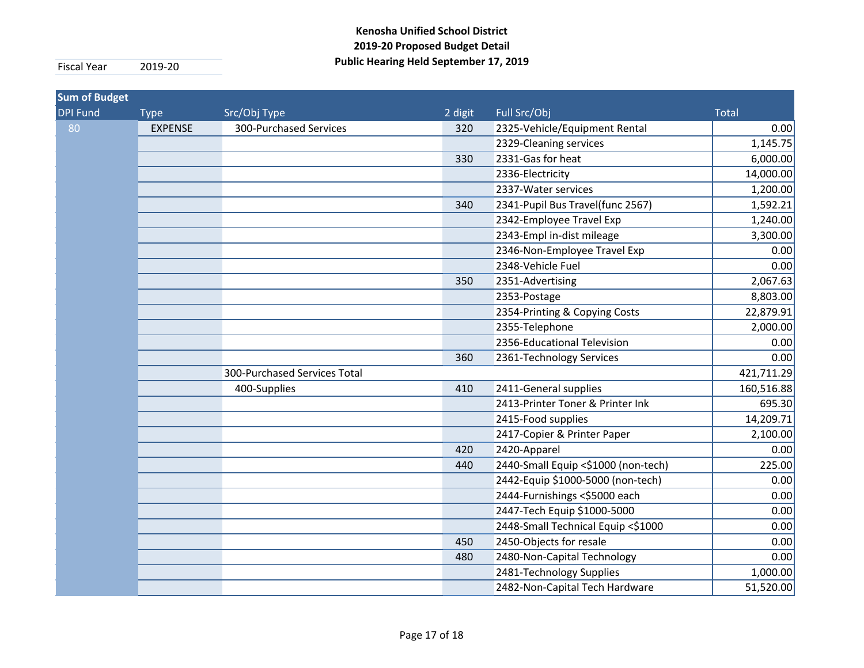| <b>Sum of Budget</b> |                |                              |         |                                     |              |
|----------------------|----------------|------------------------------|---------|-------------------------------------|--------------|
| <b>DPI Fund</b>      | <b>Type</b>    | Src/Obj Type                 | 2 digit | Full Src/Obj                        | <b>Total</b> |
| 80                   | <b>EXPENSE</b> | 300-Purchased Services       | 320     | 2325-Vehicle/Equipment Rental       | 0.00         |
|                      |                |                              |         | 2329-Cleaning services              | 1,145.75     |
|                      |                |                              | 330     | 2331-Gas for heat                   | 6,000.00     |
|                      |                |                              |         | 2336-Electricity                    | 14,000.00    |
|                      |                |                              |         | 2337-Water services                 | 1,200.00     |
|                      |                |                              | 340     | 2341-Pupil Bus Travel(func 2567)    | 1,592.21     |
|                      |                |                              |         | 2342-Employee Travel Exp            | 1,240.00     |
|                      |                |                              |         | 2343-Empl in-dist mileage           | 3,300.00     |
|                      |                |                              |         | 2346-Non-Employee Travel Exp        | 0.00         |
|                      |                |                              |         | 2348-Vehicle Fuel                   | 0.00         |
|                      |                |                              | 350     | 2351-Advertising                    | 2,067.63     |
|                      |                |                              |         | 2353-Postage                        | 8,803.00     |
|                      |                |                              |         | 2354-Printing & Copying Costs       | 22,879.91    |
|                      |                |                              |         | 2355-Telephone                      | 2,000.00     |
|                      |                |                              |         | 2356-Educational Television         | 0.00         |
|                      |                |                              | 360     | 2361-Technology Services            | 0.00         |
|                      |                | 300-Purchased Services Total |         |                                     | 421,711.29   |
|                      |                | 400-Supplies                 | 410     | 2411-General supplies               | 160,516.88   |
|                      |                |                              |         | 2413-Printer Toner & Printer Ink    | 695.30       |
|                      |                |                              |         | 2415-Food supplies                  | 14,209.71    |
|                      |                |                              |         | 2417-Copier & Printer Paper         | 2,100.00     |
|                      |                |                              | 420     | 2420-Apparel                        | 0.00         |
|                      |                |                              | 440     | 2440-Small Equip <\$1000 (non-tech) | 225.00       |
|                      |                |                              |         | 2442-Equip \$1000-5000 (non-tech)   | 0.00         |
|                      |                |                              |         | 2444-Furnishings <\$5000 each       | 0.00         |
|                      |                |                              |         | 2447-Tech Equip \$1000-5000         | 0.00         |
|                      |                |                              |         | 2448-Small Technical Equip <\$1000  | 0.00         |
|                      |                |                              | 450     | 2450-Objects for resale             | 0.00         |
|                      |                |                              | 480     | 2480-Non-Capital Technology         | 0.00         |
|                      |                |                              |         | 2481-Technology Supplies            | 1,000.00     |
|                      |                |                              |         | 2482-Non-Capital Tech Hardware      | 51,520.00    |